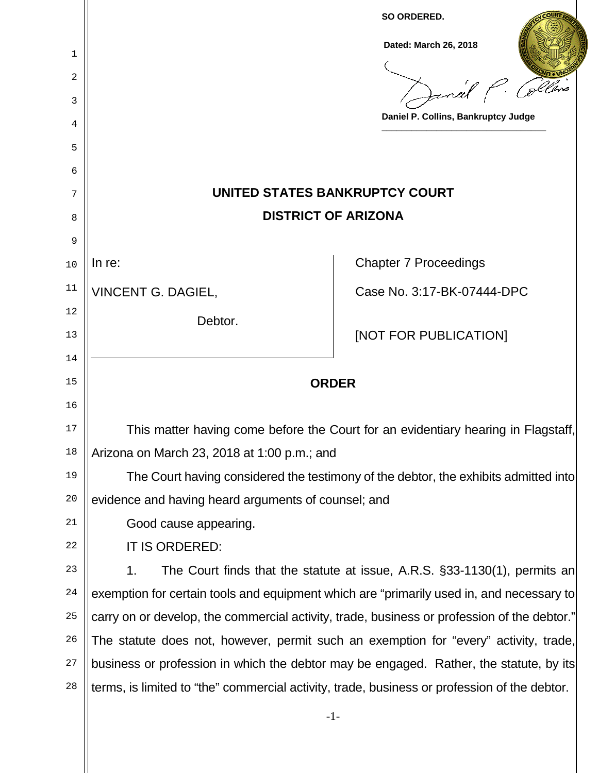|                                                                                                    | SO ORDERED.                                                                                                                                         |
|----------------------------------------------------------------------------------------------------|-----------------------------------------------------------------------------------------------------------------------------------------------------|
|                                                                                                    | Dated: March 26, 2018                                                                                                                               |
|                                                                                                    |                                                                                                                                                     |
|                                                                                                    |                                                                                                                                                     |
|                                                                                                    | Daniel P. Collins, Bankruptcy Judge                                                                                                                 |
|                                                                                                    |                                                                                                                                                     |
|                                                                                                    |                                                                                                                                                     |
| UNITED STATES BANKRUPTCY COURT<br>7                                                                |                                                                                                                                                     |
| <b>DISTRICT OF ARIZONA</b><br>8                                                                    |                                                                                                                                                     |
|                                                                                                    |                                                                                                                                                     |
| In $re$ :                                                                                          | <b>Chapter 7 Proceedings</b>                                                                                                                        |
| <b>VINCENT G. DAGIEL,</b>                                                                          | Case No. 3:17-BK-07444-DPC                                                                                                                          |
| Debtor.                                                                                            |                                                                                                                                                     |
|                                                                                                    | [NOT FOR PUBLICATION]                                                                                                                               |
| 14                                                                                                 |                                                                                                                                                     |
| 15<br><b>ORDER</b>                                                                                 |                                                                                                                                                     |
| 16                                                                                                 |                                                                                                                                                     |
| 17<br>This matter having come before the Court for an evidentiary hearing in Flagstaff,<br>18      |                                                                                                                                                     |
| 19                                                                                                 |                                                                                                                                                     |
| The Court having considered the testimony of the debtor, the exhibits admitted into<br>20          |                                                                                                                                                     |
| 21                                                                                                 |                                                                                                                                                     |
| 22                                                                                                 |                                                                                                                                                     |
| The Court finds that the statute at issue, A.R.S. §33-1130(1), permits an<br>23                    |                                                                                                                                                     |
| 24<br>exemption for certain tools and equipment which are "primarily used in, and necessary to     |                                                                                                                                                     |
| 25<br>carry on or develop, the commercial activity, trade, business or profession of the debtor."  |                                                                                                                                                     |
| The statute does not, however, permit such an exemption for "every" activity, trade,<br>26         |                                                                                                                                                     |
| 27<br>business or profession in which the debtor may be engaged. Rather, the statute, by its       |                                                                                                                                                     |
| 28<br>terms, is limited to "the" commercial activity, trade, business or profession of the debtor. |                                                                                                                                                     |
| $-1-$                                                                                              |                                                                                                                                                     |
|                                                                                                    | Arizona on March 23, 2018 at 1:00 p.m.; and<br>evidence and having heard arguments of counsel; and<br>Good cause appearing.<br>IT IS ORDERED:<br>1. |